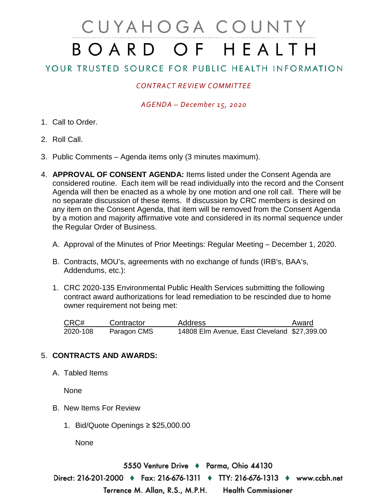# CUYAHOGA COUNTY BOARD OF HEALTH

# YOUR TRUSTED SOURCE FOR PUBLIC HEALTH INFORMATION

## *CONTRACT REVIEW COMMITTEE*

### *AGENDA – December 15, 2020*

- 1. Call to Order.
- 2. Roll Call.
- 3. Public Comments Agenda items only (3 minutes maximum).
- 4. **APPROVAL OF CONSENT AGENDA:** Items listed under the Consent Agenda are considered routine. Each item will be read individually into the record and the Consent Agenda will then be enacted as a whole by one motion and one roll call. There will be no separate discussion of these items. If discussion by CRC members is desired on any item on the Consent Agenda, that item will be removed from the Consent Agenda by a motion and majority affirmative vote and considered in its normal sequence under the Regular Order of Business.
	- A. Approval of the Minutes of Prior Meetings: Regular Meeting December 1, 2020.
	- B. Contracts, MOU's, agreements with no exchange of funds (IRB's, BAA's, Addendums, etc.):
	- 1. CRC 2020-135 Environmental Public Health Services submitting the following contract award authorizations for lead remediation to be rescinded due to home owner requirement not being met:

| CRC#     | Contractor  | <b>Address</b>                               | Award |
|----------|-------------|----------------------------------------------|-------|
| 2020-108 | Paragon CMS | 14808 Elm Avenue, East Cleveland \$27,399.00 |       |

#### 5. **CONTRACTS AND AWARDS:**

A. Tabled Items

None

- B. New Items For Review
	- 1. Bid/Quote Openings ≥ \$25,000.00

None

5550 Venture Drive ♦ Parma, Ohio 44130 Direct: 216-201-2000 ♦ Fax: 216-676-1311 ♦ TTY: 216-676-1313 ♦ www.ccbh.net Terrence M. Allan, R.S., M.P.H. **Health Commissioner**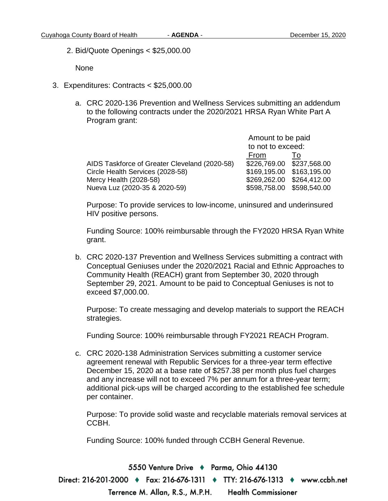2. Bid/Quote Openings < \$25,000.00

None

- 3. Expenditures: Contracts < \$25,000.00
	- a. CRC 2020-136 Prevention and Wellness Services submitting an addendum to the following contracts under the 2020/2021 HRSA Ryan White Part A Program grant:

|                                               | Amount to be paid |                           |
|-----------------------------------------------|-------------------|---------------------------|
|                                               | to not to exceed: |                           |
|                                               | From              | 10                        |
| AIDS Taskforce of Greater Cleveland (2020-58) |                   | \$226,769.00 \$237,568.00 |
| Circle Health Services (2028-58)              |                   | \$169,195.00 \$163,195.00 |
| Mercy Health (2028-58)                        |                   | \$269,262.00 \$264,412.00 |
| Nueva Luz (2020-35 & 2020-59)                 |                   | \$598,758.00 \$598,540.00 |

Purpose: To provide services to low-income, uninsured and underinsured HIV positive persons.

Funding Source: 100% reimbursable through the FY2020 HRSA Ryan White grant.

b. CRC 2020-137 Prevention and Wellness Services submitting a contract with Conceptual Geniuses under the 2020/2021 Racial and Ethnic Approaches to Community Health (REACH) grant from September 30, 2020 through September 29, 2021. Amount to be paid to Conceptual Geniuses is not to exceed \$7,000.00.

Purpose: To create messaging and develop materials to support the REACH strategies.

Funding Source: 100% reimbursable through FY2021 REACH Program.

c. CRC 2020-138 Administration Services submitting a customer service agreement renewal with Republic Services for a three-year term effective December 15, 2020 at a base rate of \$257.38 per month plus fuel charges and any increase will not to exceed 7% per annum for a three-year term; additional pick-ups will be charged according to the established fee schedule per container.

Purpose: To provide solid waste and recyclable materials removal services at CCBH.

Funding Source: 100% funded through CCBH General Revenue.

5550 Venture Drive + Parma, Ohio 44130 Direct: 216-201-2000 • Fax: 216-676-1311 • TTY: 216-676-1313 • www.ccbh.net **Health Commissioner** Terrence M. Allan, R.S., M.P.H.